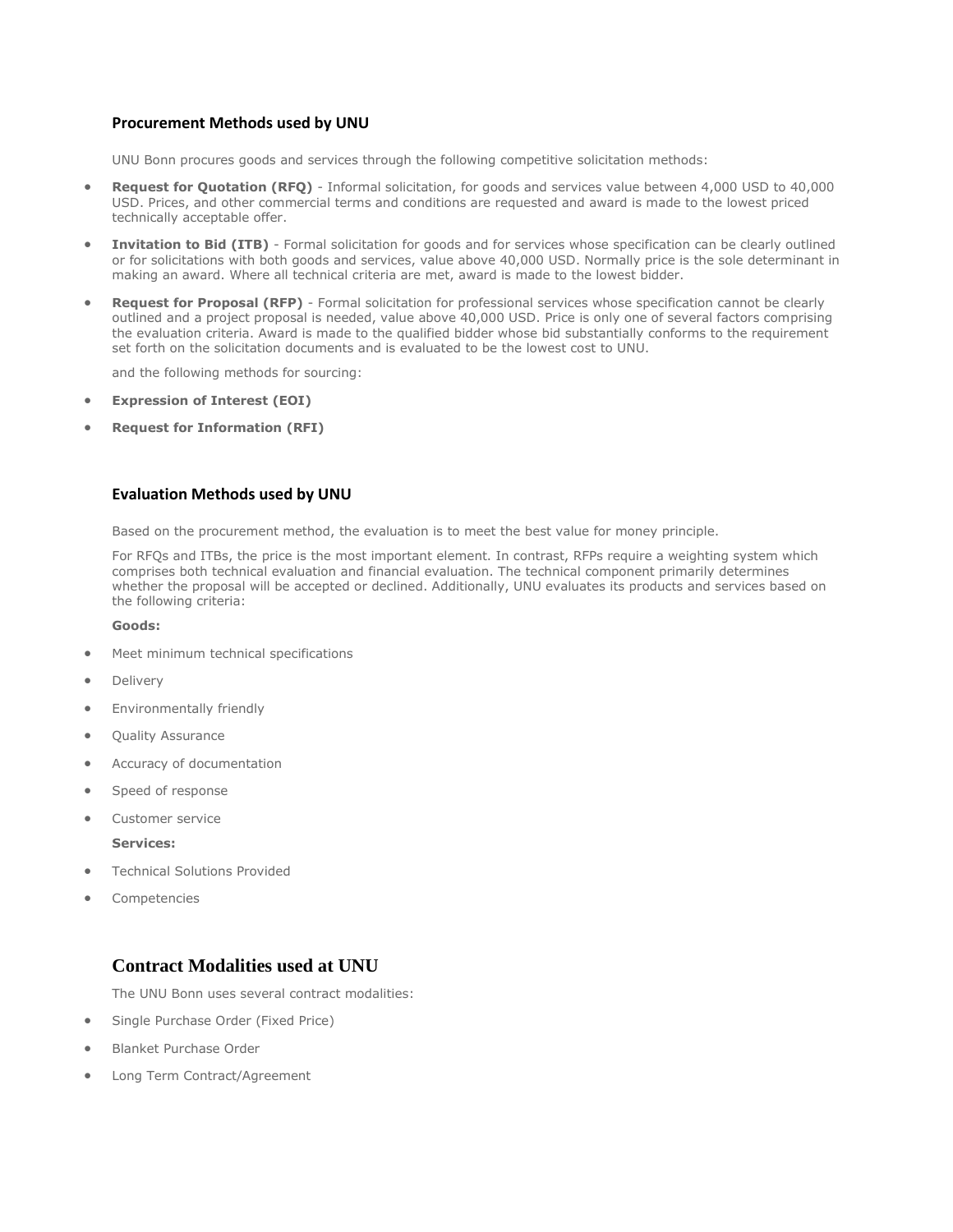#### **Procurement Methods used by UNU**

UNU Bonn procures goods and services through the following competitive solicitation methods:

- **Request for Quotation (RFQ)** Informal solicitation, for goods and services value between 4,000 USD to 40,000 USD. Prices, and other commercial terms and conditions are requested and award is made to the lowest priced technically acceptable offer.
- **Invitation to Bid (ITB)** Formal solicitation for goods and for services whose specification can be clearly outlined or for solicitations with both goods and services, value above 40,000 USD. Normally price is the sole determinant in making an award. Where all technical criteria are met, award is made to the lowest bidder.
- **Request for Proposal (RFP)** Formal solicitation for professional services whose specification cannot be clearly outlined and a project proposal is needed, value above 40,000 USD. Price is only one of several factors comprising the evaluation criteria. Award is made to the qualified bidder whose bid substantially conforms to the requirement set forth on the solicitation documents and is evaluated to be the lowest cost to UNU.

and the following methods for sourcing:

- **Expression of Interest (EOI)**
- **Request for Information (RFI)**

#### **Evaluation Methods used by UNU**

Based on the procurement method, the evaluation is to meet the best value for money principle.

For RFQs and ITBs, the price is the most important element. In contrast, RFPs require a weighting system which comprises both technical evaluation and financial evaluation. The technical component primarily determines whether the proposal will be accepted or declined. Additionally, UNU evaluates its products and services based on the following criteria:

**Goods:**

- Meet minimum technical specifications
- Delivery
- Environmentally friendly
- Quality Assurance
- Accuracy of documentation
- Speed of response
- Customer service
	- **Services:**
- Technical Solutions Provided
- Competencies

# **Contract Modalities used at UNU**

The UNU Bonn uses several contract modalities:

- Single Purchase Order (Fixed Price)
- Blanket Purchase Order
- Long Term Contract/Agreement